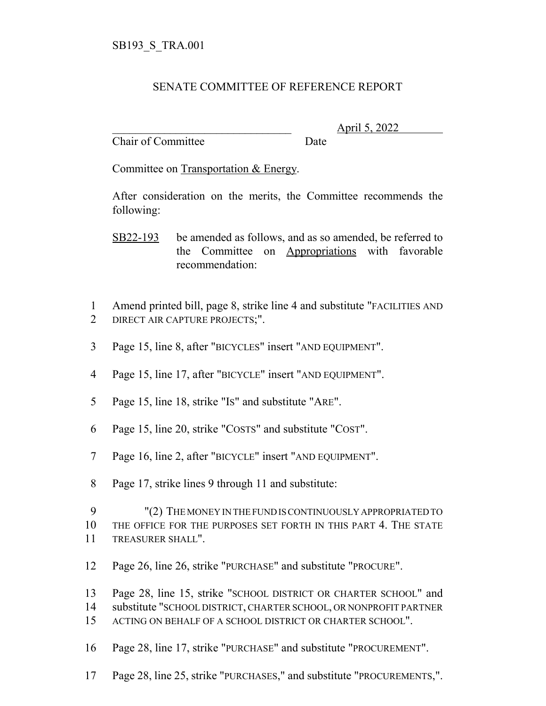## SENATE COMMITTEE OF REFERENCE REPORT

Chair of Committee Date

\_\_\_\_\_\_\_\_\_\_\_\_\_\_\_\_\_\_\_\_\_\_\_\_\_\_\_\_\_\_\_ April 5, 2022

Committee on Transportation & Energy.

After consideration on the merits, the Committee recommends the following:

SB22-193 be amended as follows, and as so amended, be referred to the Committee on Appropriations with favorable recommendation:

- Amend printed bill, page 8, strike line 4 and substitute "FACILITIES AND DIRECT AIR CAPTURE PROJECTS;".
- Page 15, line 8, after "BICYCLES" insert "AND EQUIPMENT".
- Page 15, line 17, after "BICYCLE" insert "AND EQUIPMENT".
- Page 15, line 18, strike "IS" and substitute "ARE".
- Page 15, line 20, strike "COSTS" and substitute "COST".
- Page 16, line 2, after "BICYCLE" insert "AND EQUIPMENT".
- Page 17, strike lines 9 through 11 and substitute:

 "(2) THE MONEY IN THE FUND IS CONTINUOUSLY APPROPRIATED TO THE OFFICE FOR THE PURPOSES SET FORTH IN THIS PART 4. THE STATE TREASURER SHALL".

Page 26, line 26, strike "PURCHASE" and substitute "PROCURE".

Page 28, line 15, strike "SCHOOL DISTRICT OR CHARTER SCHOOL" and

- substitute "SCHOOL DISTRICT, CHARTER SCHOOL, OR NONPROFIT PARTNER
- ACTING ON BEHALF OF A SCHOOL DISTRICT OR CHARTER SCHOOL".
- Page 28, line 17, strike "PURCHASE" and substitute "PROCUREMENT".
- Page 28, line 25, strike "PURCHASES," and substitute "PROCUREMENTS,".